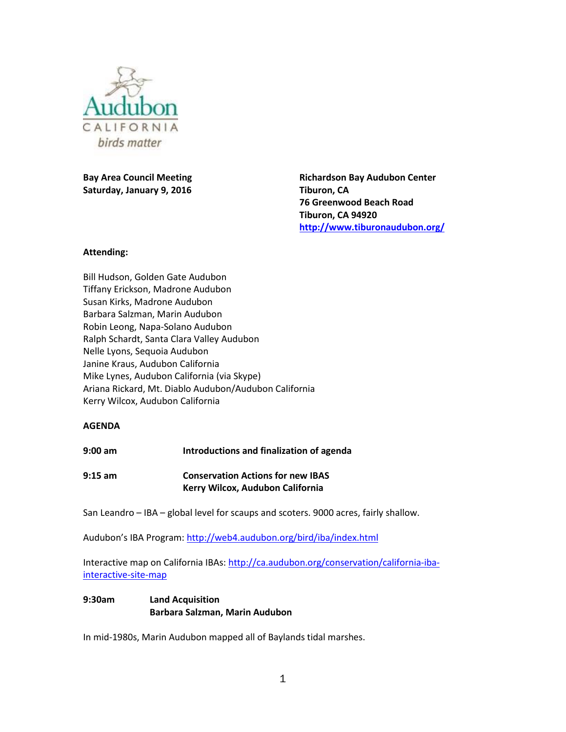

**Bay Area Council Meeting Saturday, January 9, 2016**

**Richardson Bay Audubon Center Tiburon, CA 76 Greenwood Beach Road Tiburon, CA 94920 <http://www.tiburonaudubon.org/>**

### **Attending:**

Bill Hudson, Golden Gate Audubon Tiffany Erickson, Madrone Audubon Susan Kirks, Madrone Audubon Barbara Salzman, Marin Audubon Robin Leong, Napa-Solano Audubon Ralph Schardt, Santa Clara Valley Audubon Nelle Lyons, Sequoia Audubon Janine Kraus, Audubon California Mike Lynes, Audubon California (via Skype) Ariana Rickard, Mt. Diablo Audubon/Audubon California Kerry Wilcox, Audubon California

### **AGENDA**

**9:00 am Introductions and finalization of agenda**

**9:15 am Conservation Actions for new IBAS Kerry Wilcox, Audubon California**

San Leandro – IBA – global level for scaups and scoters. 9000 acres, fairly shallow.

Audubon's IBA Program:<http://web4.audubon.org/bird/iba/index.html>

Interactive map on California IBAs: [http://ca.audubon.org/conservation/california-iba](http://ca.audubon.org/conservation/california-iba-interactive-site-map)[interactive-site-map](http://ca.audubon.org/conservation/california-iba-interactive-site-map)

# **9:30am Land Acquisition Barbara Salzman, Marin Audubon**

In mid-1980s, Marin Audubon mapped all of Baylands tidal marshes.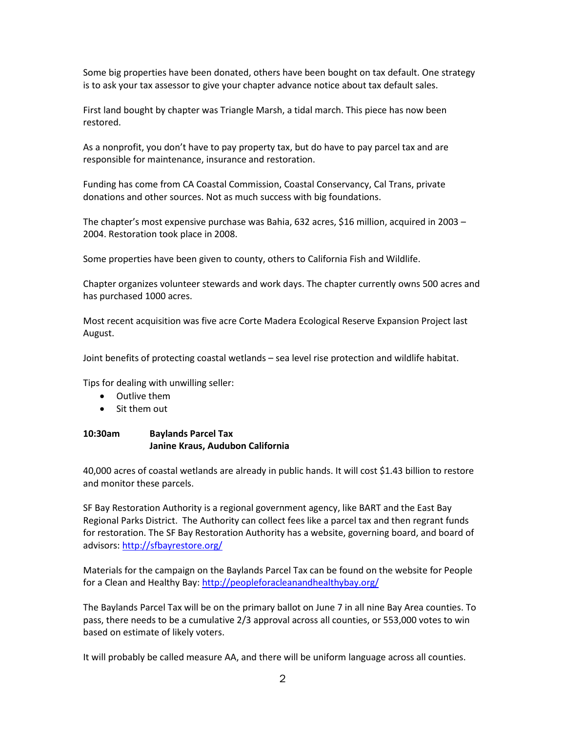Some big properties have been donated, others have been bought on tax default. One strategy is to ask your tax assessor to give your chapter advance notice about tax default sales.

First land bought by chapter was Triangle Marsh, a tidal march. This piece has now been restored.

As a nonprofit, you don't have to pay property tax, but do have to pay parcel tax and are responsible for maintenance, insurance and restoration.

Funding has come from CA Coastal Commission, Coastal Conservancy, Cal Trans, private donations and other sources. Not as much success with big foundations.

The chapter's most expensive purchase was Bahia, 632 acres, \$16 million, acquired in 2003 – 2004. Restoration took place in 2008.

Some properties have been given to county, others to California Fish and Wildlife.

Chapter organizes volunteer stewards and work days. The chapter currently owns 500 acres and has purchased 1000 acres.

Most recent acquisition was five acre Corte Madera Ecological Reserve Expansion Project last August.

Joint benefits of protecting coastal wetlands – sea level rise protection and wildlife habitat.

Tips for dealing with unwilling seller:

- Outlive them
- Sit them out

### **10:30am Baylands Parcel Tax Janine Kraus, Audubon California**

40,000 acres of coastal wetlands are already in public hands. It will cost \$1.43 billion to restore and monitor these parcels.

SF Bay Restoration Authority is a regional government agency, like BART and the East Bay Regional Parks District. The Authority can collect fees like a parcel tax and then regrant funds for restoration. The SF Bay Restoration Authority has a website, governing board, and board of advisors:<http://sfbayrestore.org/>

Materials for the campaign on the Baylands Parcel Tax can be found on the website for People for a Clean and Healthy Bay[: http://peopleforacleanandhealthybay.org/](http://peopleforacleanandhealthybay.org/)

The Baylands Parcel Tax will be on the primary ballot on June 7 in all nine Bay Area counties. To pass, there needs to be a cumulative 2/3 approval across all counties, or 553,000 votes to win based on estimate of likely voters.

It will probably be called measure AA, and there will be uniform language across all counties.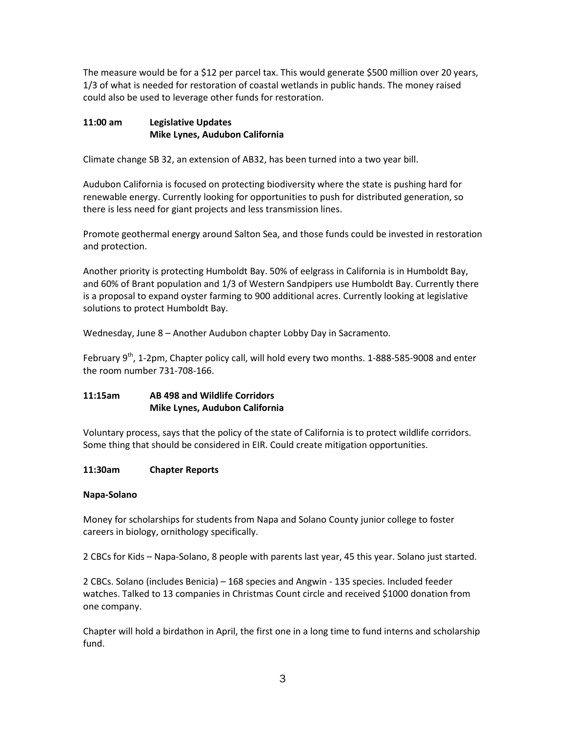The measure would be for a \$12 per parcel tax. This would generate \$500 million over 20 years, 1/3 of what is needed for restoration of coastal wetlands in public hands. The money raised could also be used to leverage other funds for restoration.

# **11:00 am Legislative Updates Mike Lynes, Audubon California**

Climate change SB 32, an extension of AB32, has been turned into a two year bill.

Audubon California is focused on protecting biodiversity where the state is pushing hard for renewable energy. Currently looking for opportunities to push for distributed generation, so there is less need for giant projects and less transmission lines.

Promote geothermal energy around Salton Sea, and those funds could be invested in restoration and protection.

Another priority is protecting Humboldt Bay. 50% of eelgrass in California is in Humboldt Bay, and 60% of Brant population and 1/3 of Western Sandpipers use Humboldt Bay. Currently there is a proposal to expand oyster farming to 900 additional acres. Currently looking at legislative solutions to protect Humboldt Bay.

Wednesday, June 8 – Another Audubon chapter Lobby Day in Sacramento.

February  $9^{th}$ , 1-2pm, Chapter policy call, will hold every two months. 1-888-585-9008 and enter the room number 731-708-166.

# **11:15am AB 498 and Wildlife Corridors Mike Lynes, Audubon California**

Voluntary process, says that the policy of the state of California is to protect wildlife corridors. Some thing that should be considered in EIR. Could create mitigation opportunities.

### **11:30am Chapter Reports**

### **Napa-Solano**

Money for scholarships for students from Napa and Solano County junior college to foster careers in biology, ornithology specifically.

2 CBCs for Kids – Napa-Solano, 8 people with parents last year, 45 this year. Solano just started.

2 CBCs. Solano (includes Benicia) – 168 species and Angwin - 135 species. Included feeder watches. Talked to 13 companies in Christmas Count circle and received \$1000 donation from one company.

Chapter will hold a birdathon in April, the first one in a long time to fund interns and scholarship fund.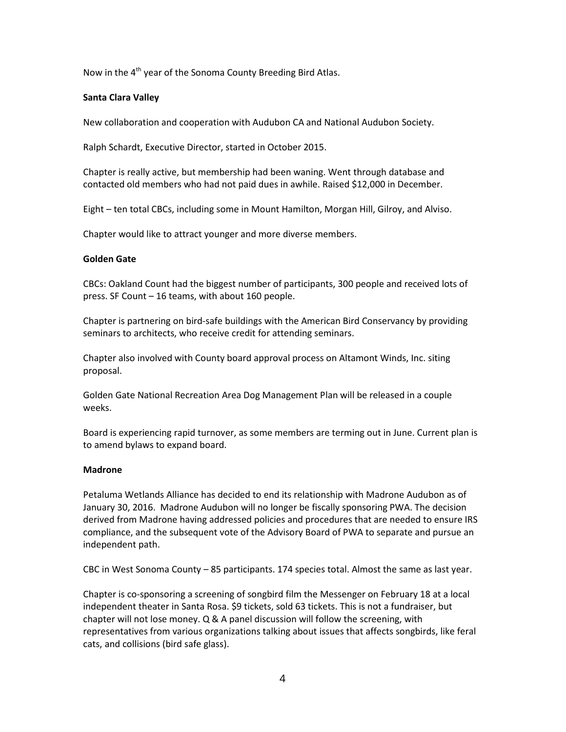Now in the  $4<sup>th</sup>$  year of the Sonoma County Breeding Bird Atlas.

### **Santa Clara Valley**

New collaboration and cooperation with Audubon CA and National Audubon Society.

Ralph Schardt, Executive Director, started in October 2015.

Chapter is really active, but membership had been waning. Went through database and contacted old members who had not paid dues in awhile. Raised \$12,000 in December.

Eight – ten total CBCs, including some in Mount Hamilton, Morgan Hill, Gilroy, and Alviso.

Chapter would like to attract younger and more diverse members.

### **Golden Gate**

CBCs: Oakland Count had the biggest number of participants, 300 people and received lots of press. SF Count – 16 teams, with about 160 people.

Chapter is partnering on bird-safe buildings with the American Bird Conservancy by providing seminars to architects, who receive credit for attending seminars.

Chapter also involved with County board approval process on Altamont Winds, Inc. siting proposal.

Golden Gate National Recreation Area Dog Management Plan will be released in a couple weeks.

Board is experiencing rapid turnover, as some members are terming out in June. Current plan is to amend bylaws to expand board.

### **Madrone**

Petaluma Wetlands Alliance has decided to end its relationship with Madrone Audubon as of January 30, 2016. Madrone Audubon will no longer be fiscally sponsoring PWA. The decision derived from Madrone having addressed policies and procedures that are needed to ensure IRS compliance, and the subsequent vote of the Advisory Board of PWA to separate and pursue an independent path.

CBC in West Sonoma County – 85 participants. 174 species total. Almost the same as last year.

Chapter is co-sponsoring a screening of songbird film the Messenger on February 18 at a local independent theater in Santa Rosa. \$9 tickets, sold 63 tickets. This is not a fundraiser, but chapter will not lose money. Q & A panel discussion will follow the screening, with representatives from various organizations talking about issues that affects songbirds, like feral cats, and collisions (bird safe glass).